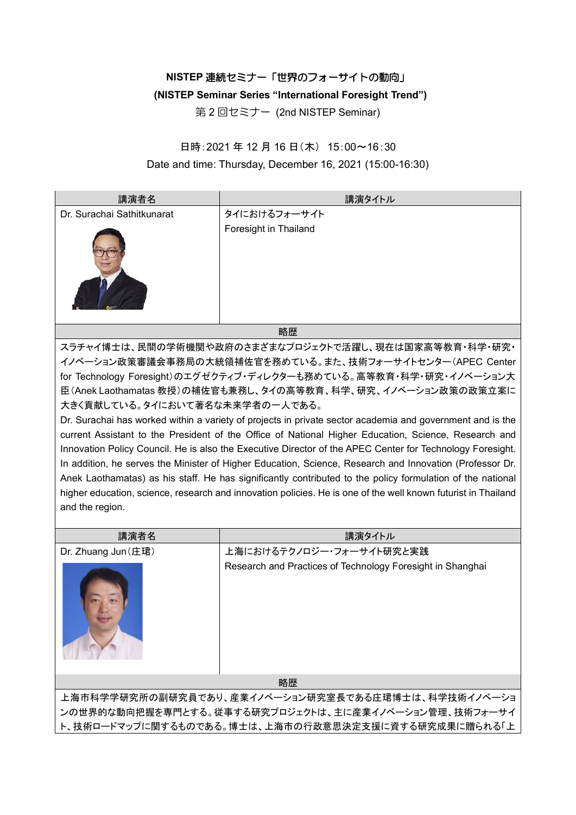## **NISTEP** 連続セミナー「世界のフォーサイトの動向」

## **(NISTEP Seminar Series "International Foresight Trend")**

第 2 回セミナー (2nd NISTEP Seminar)

## 日時:2021 年 12 月 16 日(木) 15:00~16:30 Date and time: Thursday, December 16, 2021 (15:00-16:30)

| 講演者名                       | 講演タイトル                |  |
|----------------------------|-----------------------|--|
| Dr. Surachai Sathitkunarat | タイにおけるフォーサイト          |  |
|                            | Foresight in Thailand |  |
|                            | $ -$                  |  |

略歴

スラチャイ博士は、民間の学術機関や政府のさまざまなプロジェクトで活躍し、現在は国家高等教育・科学・研究・ イノベーション政策審議会事務局の大統領補佐官を務めている。また、技術フォーサイトセンター(APEC Center for Technology Foresight)のエグゼクティブ・ディレクターも務めている。高等教育・科学・研究・イノベーション大 臣(Anek Laothamatas 教授)の補佐官も兼務し、タイの高等教育、科学、研究、イノベーション政策の政策立案に 大きく貢献している。タイにおいて著名な未来学者の一人である。

Dr. Surachai has worked within a variety of projects in private sector academia and government and is the current Assistant to the President of the Office of National Higher Education, Science, Research and Innovation Policy Council. He is also the Executive Director of the APEC Center for Technology Foresight. In addition, he serves the Minister of Higher Education, Science, Research and Innovation (Professor Dr. Anek Laothamatas) as his staff. He has significantly contributed to the policy formulation of the national higher education, science, research and innovation policies. He is one of the well known futurist in Thailand and the region.

| 講演者名                                                 | 講演タイトル                                                     |  |
|------------------------------------------------------|------------------------------------------------------------|--|
| Dr. Zhuang Jun (庄珺)                                  | 上海におけるテクノロジー・フォーサイト研究と実践                                   |  |
|                                                      | Research and Practices of Technology Foresight in Shanghai |  |
| 略歴                                                   |                                                            |  |
| 上海市科学学研究所の副研究員であり、産業イノベーション研究室長である庄珺博士は、科学技術イノベーショ   |                                                            |  |
| ンの世界的な動向把握を専門とする。従事する研究プロジェクトは、主に産業イノベーション管理、技術フォーサイ |                                                            |  |
| ト、技術ロードマップに関するものである。博士は、上海市の行政意思決定支援に資する研究成果に贈られる「上  |                                                            |  |